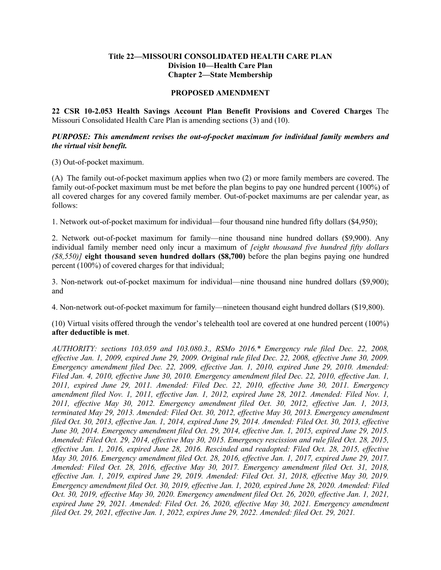## **Title 22—MISSOURI CONSOLIDATED HEALTH CARE PLAN Division 10—Health Care Plan Chapter 2—State Membership**

## **PROPOSED AMENDMENT**

**22 CSR 10-2.053 Health Savings Account Plan Benefit Provisions and Covered Charges** The Missouri Consolidated Health Care Plan is amending sections (3) and (10).

## *PURPOSE: This amendment revises the out-of-pocket maximum for individual family members and the virtual visit benefit.*

(3) Out-of-pocket maximum.

(A) The family out-of-pocket maximum applies when two (2) or more family members are covered. The family out-of-pocket maximum must be met before the plan begins to pay one hundred percent (100%) of all covered charges for any covered family member. Out-of-pocket maximums are per calendar year, as follows:

1. Network out-of-pocket maximum for individual—four thousand nine hundred fifty dollars (\$4,950);

2. Network out-of-pocket maximum for family—nine thousand nine hundred dollars (\$9,900). Any individual family member need only incur a maximum of *[eight thousand five hundred fifty dollars (\$8,550)]* **eight thousand seven hundred dollars (\$8,700)** before the plan begins paying one hundred percent (100%) of covered charges for that individual;

3. Non-network out-of-pocket maximum for individual—nine thousand nine hundred dollars (\$9,900); and

4. Non-network out-of-pocket maximum for family—nineteen thousand eight hundred dollars (\$19,800).

(10) Virtual visits offered through the vendor's telehealth tool are covered at one hundred percent (100%) **after deductible is met**.

*AUTHORITY: sections 103.059 and 103.080.3., RSMo 2016.\* Emergency rule filed Dec. 22, 2008, effective Jan. 1, 2009, expired June 29, 2009. Original rule filed Dec. 22, 2008, effective June 30, 2009. Emergency amendment filed Dec. 22, 2009, effective Jan. 1, 2010, expired June 29, 2010. Amended: Filed Jan. 4, 2010, effective June 30, 2010. Emergency amendment filed Dec. 22, 2010, effective Jan. 1, 2011, expired June 29, 2011. Amended: Filed Dec. 22, 2010, effective June 30, 2011. Emergency amendment filed Nov. 1, 2011, effective Jan. 1, 2012, expired June 28, 2012. Amended: Filed Nov. 1, 2011, effective May 30, 2012. Emergency amendment filed Oct. 30, 2012, effective Jan. 1, 2013, terminated May 29, 2013. Amended: Filed Oct. 30, 2012, effective May 30, 2013. Emergency amendment filed Oct. 30, 2013, effective Jan. 1, 2014, expired June 29, 2014. Amended: Filed Oct. 30, 2013, effective June 30, 2014. Emergency amendment filed Oct. 29, 2014, effective Jan. 1, 2015, expired June 29, 2015. Amended: Filed Oct. 29, 2014, effective May 30, 2015. Emergency rescission and rule filed Oct. 28, 2015, effective Jan. 1, 2016, expired June 28, 2016. Rescinded and readopted: Filed Oct. 28, 2015, effective May 30, 2016. Emergency amendment filed Oct. 28, 2016, effective Jan. 1, 2017, expired June 29, 2017. Amended: Filed Oct. 28, 2016, effective May 30, 2017. Emergency amendment filed Oct. 31, 2018, effective Jan. 1, 2019, expired June 29, 2019. Amended: Filed Oct. 31, 2018, effective May 30, 2019. Emergency amendment filed Oct. 30, 2019, effective Jan. 1, 2020, expired June 28, 2020. Amended: Filed Oct. 30, 2019, effective May 30, 2020. Emergency amendment filed Oct. 26, 2020, effective Jan. 1, 2021, expired June 29, 2021. Amended: Filed Oct. 26, 2020, effective May 30, 2021. Emergency amendment filed Oct. 29, 2021, effective Jan. 1, 2022, expires June 29, 2022. Amended: filed Oct. 29, 2021.*